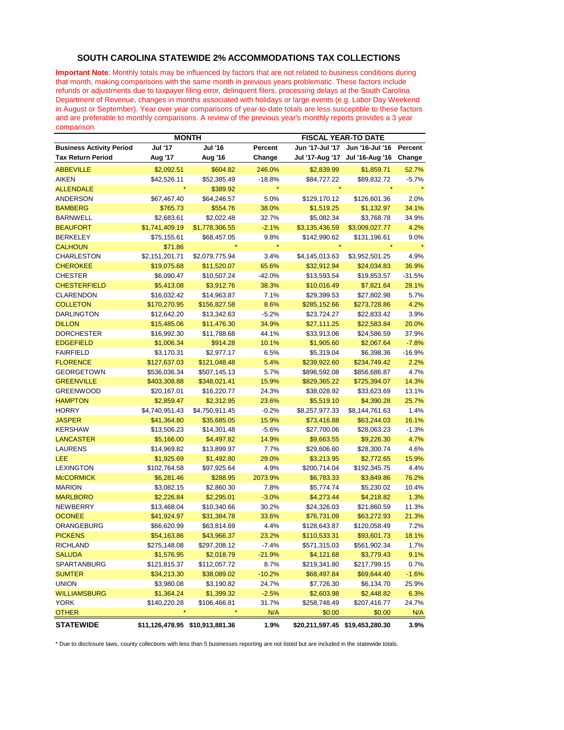## **SOUTH CAROLINA STATEWIDE 2% ACCOMMODATIONS TAX COLLECTIONS**

**Important Note**: Monthly totals may be influenced by factors that are not related to business conditions during that month, making comparisons with the same month in previous years problematic. These factors include refunds or adjustments due to taxpayer filing error, delinquent filers, processing delays at the South Carolina Department of Revenue, changes in months associated with holidays or large events (e.g. Labor Day Weekend in August or September). Year over year comparisons of year-to-date totals are less susceptible to these factors and are preferable to monthly comparisons. A review of the previous year's monthly reports provides a 3 year comparison.

|                                 | <b>MONTH</b>   |                                 |          | <b>FISCAL YEAR-TO DATE</b>      |                 |          |  |
|---------------------------------|----------------|---------------------------------|----------|---------------------------------|-----------------|----------|--|
| <b>Business Activity Period</b> | <b>Jul '17</b> | Jul '16                         | Percent  | Jun '17-Jul '17                 | Jun '16-Jul '16 | Percent  |  |
| <b>Tax Return Period</b>        | Aug '17        | Aug '16                         | Change   | Jul '17-Aug '17                 | Jul '16-Aug '16 | Change   |  |
| <b>ABBEVILLE</b>                | \$2,092.51     | \$604.82                        | 246.0%   | \$2,839.99                      | \$1,859.71      | 52.7%    |  |
| <b>AIKEN</b>                    | \$42,526.11    | \$52,385.49                     | $-18.8%$ | \$84,727.22                     | \$89,832.72     | $-5.7%$  |  |
| <b>ALLENDALE</b>                |                | \$389.92                        |          |                                 |                 |          |  |
| <b>ANDERSON</b>                 | \$67,467.40    | \$64,246.57                     | 5.0%     | \$129,170.12                    | \$126,601.36    | 2.0%     |  |
| <b>BAMBERG</b>                  | \$765.73       | \$554.76                        | 38.0%    | \$1,519.25                      | \$1,132.97      | 34.1%    |  |
| BARNWELL                        | \$2,683.61     | \$2,022.48                      | 32.7%    | \$5,082.34                      | \$3,768.78      | 34.9%    |  |
| <b>BEAUFORT</b>                 | \$1,741,409.19 | \$1,778,306.55                  | $-2.1%$  | \$3,135,436.59                  | \$3,009,027.77  | 4.2%     |  |
| BERKELEY                        | \$75,155.61    | \$68,457.05                     | 9.8%     | \$142,990.62                    | \$131,196.61    | 9.0%     |  |
| <b>CALHOUN</b>                  | \$71.86        |                                 | $\star$  |                                 |                 |          |  |
| CHARLESTON                      | \$2,151,201.71 | \$2,079,775.94                  | 3.4%     | \$4,145,013.63                  | \$3,952,501.25  | 4.9%     |  |
| <b>CHEROKEE</b>                 | \$19,075.68    | \$11,520.07                     | 65.6%    | \$32,912.94                     | \$24,034.83     | 36.9%    |  |
| CHESTER                         | \$6,090.47     | \$10,507.24                     | $-42.0%$ | \$13,593.54                     | \$19,853.57     | $-31.5%$ |  |
| <b>CHESTERFIELD</b>             | \$5,413.08     | \$3,912.76                      | 38.3%    | \$10,016.49                     | \$7,821.64      | 28.1%    |  |
| CLARENDON                       | \$16,032.42    | \$14,963.87                     | 7.1%     | \$29,399.53                     | \$27,802.98     | 5.7%     |  |
| <b>COLLETON</b>                 | \$170,270.95   | \$156,827.58                    | 8.6%     | \$285,152.66                    | \$273,728.86    | 4.2%     |  |
| <b>DARLINGTON</b>               | \$12,642.20    | \$13,342.63                     | $-5.2%$  | \$23,724.27                     | \$22,833.42     | 3.9%     |  |
| <b>DILLON</b>                   | \$15,485.06    | \$11,476.30                     | 34.9%    | \$27,111.25                     | \$22,583.84     | 20.0%    |  |
| <b>DORCHESTER</b>               | \$16,992.30    | \$11,788.68                     | 44.1%    | \$33,913.06                     | \$24,586.59     | 37.9%    |  |
| <b>EDGEFIELD</b>                | \$1,006.34     | \$914.28                        | 10.1%    | \$1,905.60                      | \$2,067.64      | $-7.8%$  |  |
| <b>FAIRFIELD</b>                | \$3,170.31     | \$2,977.17                      | 6.5%     | \$5,319.04                      | \$6,398.36      | $-16.9%$ |  |
| <b>FLORENCE</b>                 | \$127,637.03   | \$121,048.48                    | 5.4%     | \$239,922.60                    | \$234,749.42    | 2.2%     |  |
| GEORGETOWN                      | \$536,036.34   | \$507,145.13                    | 5.7%     | \$896,592.08                    | \$856,686.87    | 4.7%     |  |
| <b>GREENVILLE</b>               | \$403,308.88   | \$348,021.41                    | 15.9%    | \$829,365.22                    | \$725,394.07    | 14.3%    |  |
| <b>GREENWOOD</b>                | \$20,167.01    | \$16,220.77                     | 24.3%    | \$38,028.92                     | \$33,623.69     | 13.1%    |  |
| <b>HAMPTON</b>                  | \$2,859.47     | \$2,312.95                      | 23.6%    | \$5,519.10                      | \$4,390.28      | 25.7%    |  |
| <b>HORRY</b>                    | \$4,740,951.43 | \$4,750,911.45                  | $-0.2%$  | \$8,257,977.33                  | \$8,144,761.63  | 1.4%     |  |
| <b>JASPER</b>                   | \$41,364.80    | \$35,685.05                     | 15.9%    | \$73,416.88                     | \$63,244.03     | 16.1%    |  |
| <b>KERSHAW</b>                  | \$13,506.23    | \$14,301.48                     | $-5.6%$  | \$27,700.06                     | \$28,063.23     | $-1.3%$  |  |
| <b>LANCASTER</b>                | \$5,166.00     | \$4,497.82                      | 14.9%    | \$9,663.55                      | \$9,226.30      | 4.7%     |  |
| <b>LAURENS</b>                  | \$14,969.82    | \$13,899.97                     | 7.7%     | \$29,606.60                     | \$28,300.74     | 4.6%     |  |
| LEE                             | \$1,925.69     | \$1,492.80                      | 29.0%    | \$3,213.95                      | \$2,772.65      | 15.9%    |  |
| <b>LEXINGTON</b>                | \$102,764.58   | \$97,925.64                     | 4.9%     | \$200,714.04                    | \$192,345.75    | 4.4%     |  |
| <b>McCORMICK</b>                | \$6,281.46     | \$288.95                        | 2073.9%  | \$6,783.33                      | \$3,849.86      | 76.2%    |  |
| <b>MARION</b>                   | \$3,082.15     | \$2,860.30                      | 7.8%     | \$5,774.74                      | \$5,230.02      | 10.4%    |  |
| <b>MARLBORO</b>                 | \$2,226.84     | \$2,295.01                      | $-3.0%$  | \$4,273.44                      | \$4,218.82      | 1.3%     |  |
| <b>NEWBERRY</b>                 | \$13,468.04    | \$10,340.66                     | 30.2%    | \$24,326.03                     | \$21,860.59     | 11.3%    |  |
| <b>OCONEE</b>                   | \$41,924.97    | \$31,384.78                     | 33.6%    | \$76,731.09                     | \$63,272.93     | 21.3%    |  |
| ORANGEBURG                      | \$66,620.99    | \$63,814.69                     | 4.4%     | \$128,643.87                    | \$120,058.49    | 7.2%     |  |
| <b>PICKENS</b>                  | \$54,163.86    | \$43,966.37                     | 23.2%    | \$110,533.31                    | \$93,601.73     | 18.1%    |  |
| <b>RICHLAND</b>                 | \$275,148.08   | \$297,208.12                    | $-7.4%$  | \$571,315.03                    | \$561,902.34    | 1.7%     |  |
| <b>SALUDA</b>                   | \$1,576.95     | \$2,018.79                      | $-21.9%$ | \$4,121.68                      | \$3,779.43      | 9.1%     |  |
| SPARTANBURG                     | \$121,815.37   | \$112,057.72                    | 8.7%     | \$219,341.80                    | \$217,799.15    | 0.7%     |  |
| <b>SUMTER</b>                   | \$34,213.30    | \$38,089.02                     | $-10.2%$ | \$68,497.84                     | \$69,644.40     | $-1.6%$  |  |
| <b>UNION</b>                    | \$3,980.08     | \$3,190.82                      | 24.7%    | \$7,726.30                      | \$6,134.70      | 25.9%    |  |
| <b>WILLIAMSBURG</b>             | \$1,364.24     | \$1,399.32                      | $-2.5%$  | \$2,603.98                      | \$2,448.82      | 6.3%     |  |
| YORK                            | \$140,220.28   | \$106,466.81                    | 31.7%    | \$258,748.49                    | \$207,416.77    | 24.7%    |  |
| <b>OTHER</b>                    |                |                                 | N/A      | \$0.00                          | \$0.00          | N/A      |  |
| <b>STATEWIDE</b>                |                | \$11,126,478.95 \$10,913,881.36 | 1.9%     | \$20,211,597.45 \$19,453,280.30 |                 | 3.9%     |  |

\* Due to disclosure laws, county collections with less than 5 businesses reporting are not listed but are included in the statewide totals.